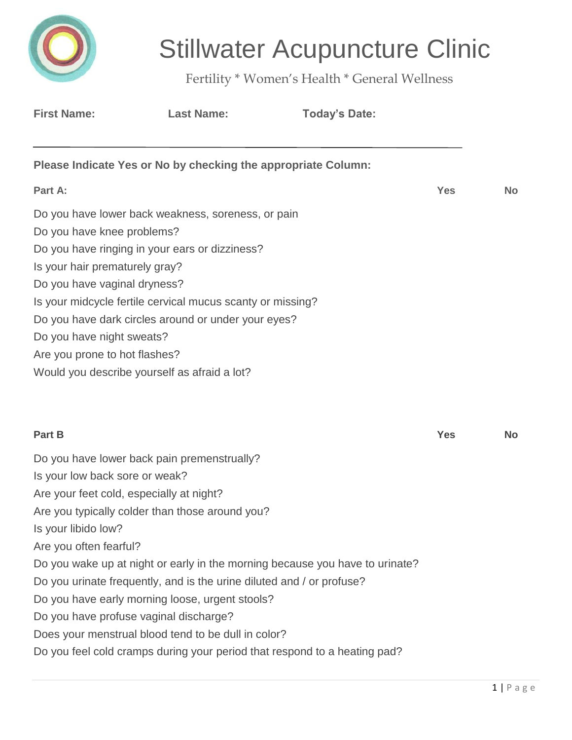

# Stillwater Acupuncture Clinic

Fertility \* Women's Health \* General Wellness

| <b>First Name:</b>                                                                                                                                                                                                                                                                                                                                                                                                                                         | <b>Last Name:</b> | <b>Today's Date:</b>                                                                                                                                      |            |           |
|------------------------------------------------------------------------------------------------------------------------------------------------------------------------------------------------------------------------------------------------------------------------------------------------------------------------------------------------------------------------------------------------------------------------------------------------------------|-------------------|-----------------------------------------------------------------------------------------------------------------------------------------------------------|------------|-----------|
| Please Indicate Yes or No by checking the appropriate Column:                                                                                                                                                                                                                                                                                                                                                                                              |                   |                                                                                                                                                           |            |           |
| Part A:                                                                                                                                                                                                                                                                                                                                                                                                                                                    |                   |                                                                                                                                                           | <b>Yes</b> | <b>No</b> |
| Do you have lower back weakness, soreness, or pain<br>Do you have knee problems?<br>Do you have ringing in your ears or dizziness?<br>Is your hair prematurely gray?<br>Do you have vaginal dryness?<br>Is your midcycle fertile cervical mucus scanty or missing?<br>Do you have dark circles around or under your eyes?<br>Do you have night sweats?<br>Are you prone to hot flashes?<br>Would you describe yourself as afraid a lot?                    |                   |                                                                                                                                                           |            |           |
| Part B                                                                                                                                                                                                                                                                                                                                                                                                                                                     |                   |                                                                                                                                                           | <b>Yes</b> | <b>No</b> |
| Do you have lower back pain premenstrually?<br>Is your low back sore or weak?<br>Are your feet cold, especially at night?<br>Are you typically colder than those around you?<br>Is your libido low?<br>Are you often fearful?<br>Do you urinate frequently, and is the urine diluted and / or profuse?<br>Do you have early morning loose, urgent stools?<br>Do you have profuse vaginal discharge?<br>Does your menstrual blood tend to be dull in color? |                   | Do you wake up at night or early in the morning because you have to urinate?<br>Do you feel cold cramps during your period that respond to a heating pad? |            |           |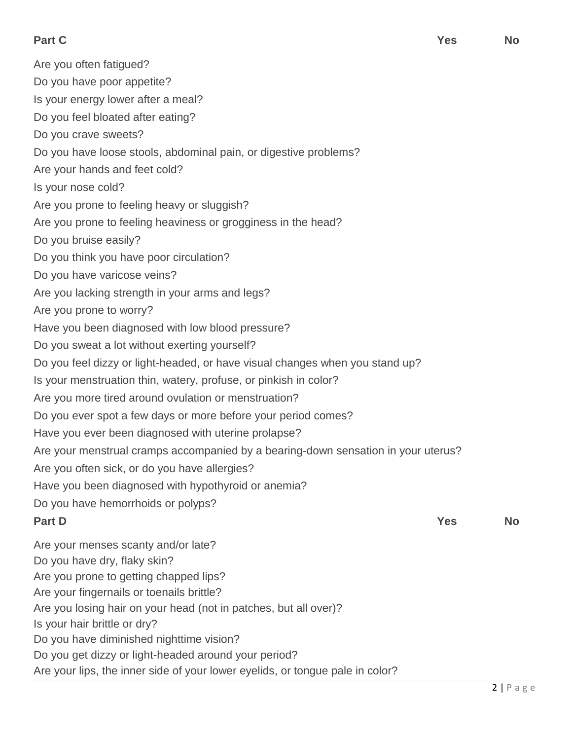Are you often fatigued? Do you have poor appetite? Is your energy lower after a meal? Do you feel bloated after eating? Do you crave sweets? Do you have loose stools, abdominal pain, or digestive problems? Are your hands and feet cold? Is your nose cold? Are you prone to feeling heavy or sluggish? Are you prone to feeling heaviness or grogginess in the head? Do you bruise easily? Do you think you have poor circulation? Do you have varicose veins? Are you lacking strength in your arms and legs? Are you prone to worry? Have you been diagnosed with low blood pressure? Do you sweat a lot without exerting yourself? Do you feel dizzy or light-headed, or have visual changes when you stand up? Is your menstruation thin, watery, profuse, or pinkish in color? Are you more tired around ovulation or menstruation? Do you ever spot a few days or more before your period comes? Have you ever been diagnosed with uterine prolapse? Are your menstrual cramps accompanied by a bearing-down sensation in your uterus? Are you often sick, or do you have allergies? Have you been diagnosed with hypothyroid or anemia? Do you have hemorrhoids or polyps? **Part D Yes No** Are your menses scanty and/or late? Do you have dry, flaky skin? Are you prone to getting chapped lips? Are your fingernails or toenails brittle? Are you losing hair on your head (not in patches, but all over)? Is your hair brittle or dry? Do you have diminished nighttime vision? Do you get dizzy or light-headed around your period?

Are your lips, the inner side of your lower eyelids, or tongue pale in color?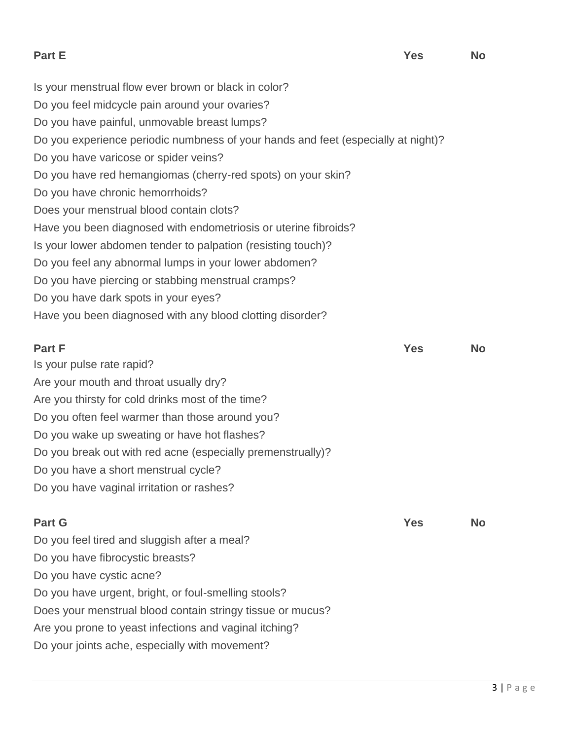**Part E Yes No**

Is your menstrual flow ever brown or black in color? Do you feel midcycle pain around your ovaries? Do you have painful, unmovable breast lumps? Do you experience periodic numbness of your hands and feet (especially at night)? Do you have varicose or spider veins? Do you have red hemangiomas (cherry-red spots) on your skin? Do you have chronic hemorrhoids? Does your menstrual blood contain clots? Have you been diagnosed with endometriosis or uterine fibroids? Is your lower abdomen tender to palpation (resisting touch)? Do you feel any abnormal lumps in your lower abdomen? Do you have piercing or stabbing menstrual cramps? Do you have dark spots in your eyes? Have you been diagnosed with any blood clotting disorder?

**Part F Yes No** Is your pulse rate rapid? Are your mouth and throat usually dry? Are you thirsty for cold drinks most of the time? Do you often feel warmer than those around you? Do you wake up sweating or have hot flashes? Do you break out with red acne (especially premenstrually)? Do you have a short menstrual cycle? Do you have vaginal irritation or rashes?

**Part G Yes No**

Do you feel tired and sluggish after a meal? Do you have fibrocystic breasts? Do you have cystic acne? Do you have urgent, bright, or foul-smelling stools? Does your menstrual blood contain stringy tissue or mucus? Are you prone to yeast infections and vaginal itching? Do your joints ache, especially with movement?